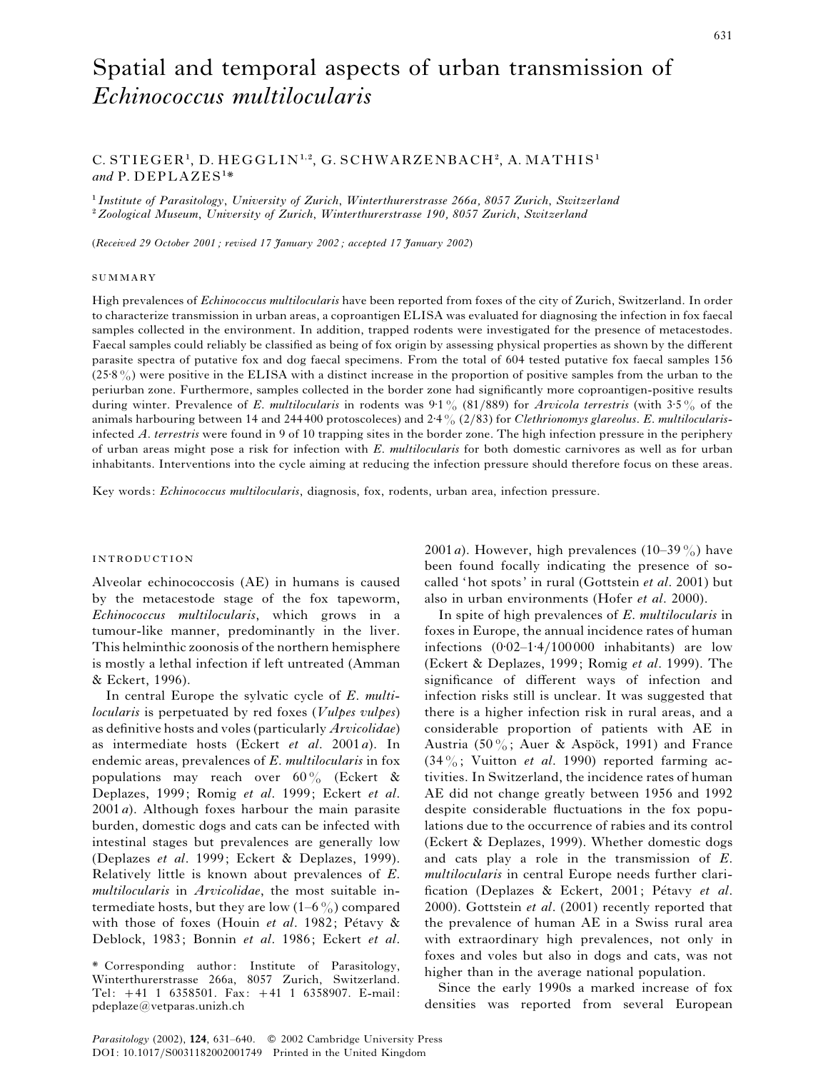# Spatial and temporal aspects of urban transmission of *Echinococcus multilocularis*

# $C.$  STIEGER<sup>1</sup>, D. HEGGLIN<sup>1,2</sup>, G. SCHWARZENBACH<sup>2</sup>, A. MATHIS<sup>1</sup> and P. DEPLAZES<sup>1\*</sup>

" *Institute of Parasitology*, *University of Zurich*, *Winterthurerstrasse 266a, 8057 Zurich*, *Switzerland* #*Zoological Museum*, *University of Zurich*, *Winterthurerstrasse 190, 8057 Zurich*, *Switzerland*

(*Received 29 October 2001 ; revised 17 January 2002 ; accepted 17 January 2002*)

#### SUMMARY

High prevalences of *Echinococcus multilocularis* have been reported from foxes of the city of Zurich, Switzerland. In order to characterize transmission in urban areas, a coproantigen ELISA was evaluated for diagnosing the infection in fox faecal samples collected in the environment. In addition, trapped rodents were investigated for the presence of metacestodes. Faecal samples could reliably be classified as being of fox origin by assessing physical properties as shown by the different parasite spectra of putative fox and dog faecal specimens. From the total of 604 tested putative fox faecal samples 156  $(25\frac{8}{6})$  were positive in the ELISA with a distinct increase in the proportion of positive samples from the urban to the periurban zone. Furthermore, samples collected in the border zone had significantly more coproantigen-positive results during winter. Prevalence of *E. multilocularis* in rodents was 9:1% (81/889) for *Arvicola terrestris* (with 3:5% of the animals harbouring between 14 and 244400 protoscoleces) and 2±4% (2}83) for *Clethrionomys glareolus*. *E*. *multilocularis*infected *A*. *terrestris* were found in 9 of 10 trapping sites in the border zone. The high infection pressure in the periphery of urban areas might pose a risk for infection with *E*. *multilocularis* for both domestic carnivores as well as for urban inhabitants. Interventions into the cycle aiming at reducing the infection pressure should therefore focus on these areas.

Key words: *Echinococcus multilocularis*, diagnosis, fox, rodents, urban area, infection pressure.

# **INTRODUCTION**

Alveolar echinococcosis (AE) in humans is caused by the metacestode stage of the fox tapeworm, *Echinococcus multilocularis*, which grows in a tumour-like manner, predominantly in the liver. This helminthic zoonosis of the northern hemisphere is mostly a lethal infection if left untreated (Amman & Eckert, 1996).

In central Europe the sylvatic cycle of *E*. *multilocularis* is perpetuated by red foxes (*Vulpes vulpes*) as definitive hosts and voles (particularly *Arvicolidae*) as intermediate hosts (Eckert *et al*. 2001*a*). In endemic areas, prevalences of *E*. *multilocularis* in fox populations may reach over  $60\%$  (Eckert & Deplazes, 1999; Romig *et al*. 1999; Eckert *et al*. 2001*a*). Although foxes harbour the main parasite burden, domestic dogs and cats can be infected with intestinal stages but prevalences are generally low (Deplazes *et al*. 1999; Eckert & Deplazes, 1999). Relatively little is known about prevalences of *E*. *multilocularis* in *Arvicolidae*, the most suitable intermediate hosts, but they are low  $(1-6\%)$  compared with those of foxes (Houin et al. 1982; Pétavy & Deblock, 1983; Bonnin *et al*. 1986; Eckert *et al*.

2001*a*). However, high prevalences  $(10-39\%)$  have been found focally indicating the presence of socalled 'hot spots' in rural (Gottstein *et al*. 2001) but also in urban environments (Hofer *et al*. 2000).

In spite of high prevalences of *E*. *multilocularis* in foxes in Europe, the annual incidence rates of human infections  $(0.02-1.4/100 000$  inhabitants) are low (Eckert & Deplazes, 1999; Romig *et al*. 1999). The significance of different ways of infection and infection risks still is unclear. It was suggested that there is a higher infection risk in rural areas, and a considerable proportion of patients with AE in Austria (50%; Auer & Aspöck, 1991) and France  $(34\%;$  Vuitton *et al.* 1990) reported farming activities. In Switzerland, the incidence rates of human AE did not change greatly between 1956 and 1992 despite considerable fluctuations in the fox populations due to the occurrence of rabies and its control (Eckert & Deplazes, 1999). Whether domestic dogs and cats play a role in the transmission of *E*. *multilocularis* in central Europe needs further clarification (Deplazes & Eckert, 2001; Pétavy et al. 2000). Gottstein *et al*. (2001) recently reported that the prevalence of human AE in a Swiss rural area with extraordinary high prevalences, not only in foxes and voles but also in dogs and cats, was not higher than in the average national population.

Since the early 1990s a marked increase of fox densities was reported from several European

<sup>\*</sup> Corresponding author: Institute of Parasitology, Winterthurerstrasse 266a, 8057 Zurich, Switzerland. Tel: 41 1 6358501. Fax: 41 1 6358907. E-mail:  $pdeplaze@vetparas.unizh.ch$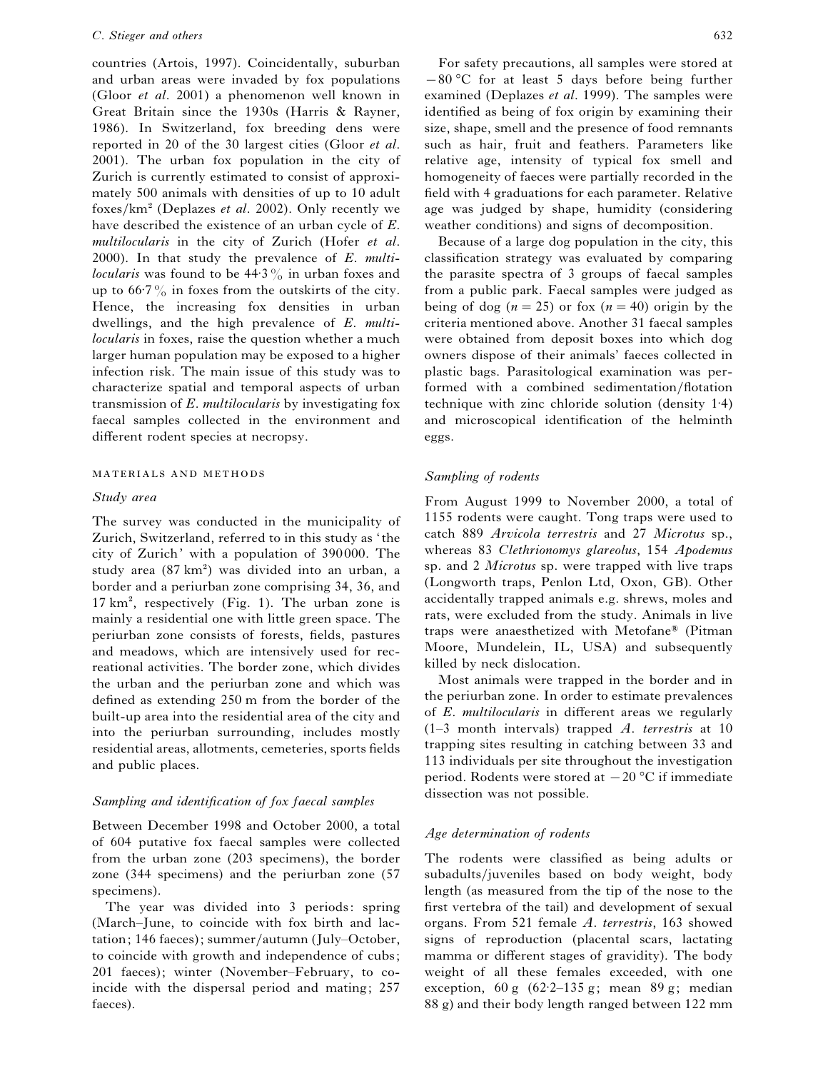countries (Artois, 1997). Coincidentally, suburban and urban areas were invaded by fox populations (Gloor *et al*. 2001) a phenomenon well known in Great Britain since the 1930s (Harris & Rayner, 1986). In Switzerland, fox breeding dens were reported in 20 of the 30 largest cities (Gloor *et al*. 2001). The urban fox population in the city of Zurich is currently estimated to consist of approximately 500 animals with densities of up to 10 adult foxes/km<sup>2</sup> (Deplazes *et al.* 2002). Only recently we have described the existence of an urban cycle of *E*. *multilocularis* in the city of Zurich (Hofer *et al*. 2000). In that study the prevalence of *E*. *multilocularis* was found to be  $44.3\%$  in urban foxes and up to  $66.7\%$  in foxes from the outskirts of the city. Hence, the increasing fox densities in urban dwellings, and the high prevalence of *E*. *multilocularis* in foxes, raise the question whether a much larger human population may be exposed to a higher infection risk. The main issue of this study was to characterize spatial and temporal aspects of urban transmission of *E*. *multilocularis* by investigating fox faecal samples collected in the environment and different rodent species at necropsy.

## MATERIALS AND METHODS

# *Study area*

The survey was conducted in the municipality of Zurich, Switzerland, referred to in this study as ' the city of Zurich' with a population of 390 000. The study area  $(87 \text{ km}^2)$  was divided into an urban, a border and a periurban zone comprising 34, 36, and  $17 \text{ km}^2$ , respectively (Fig. 1). The urban zone is mainly a residential one with little green space. The periurban zone consists of forests, fields, pastures and meadows, which are intensively used for recreational activities. The border zone, which divides the urban and the periurban zone and which was defined as extending 250 m from the border of the built-up area into the residential area of the city and into the periurban surrounding, includes mostly residential areas, allotments, cemeteries, sports fields and public places.

# *Sampling and identification of fox faecal samples*

Between December 1998 and October 2000, a total of 604 putative fox faecal samples were collected from the urban zone (203 specimens), the border zone (344 specimens) and the periurban zone (57 specimens).

The year was divided into 3 periods: spring (March–June, to coincide with fox birth and lactation; 146 faeces); summer/autumn (July–October, to coincide with growth and independence of cubs; 201 faeces); winter (November–February, to coincide with the dispersal period and mating; 257 faeces).

For safety precautions, all samples were stored at  $-80$  °C for at least 5 days before being further examined (Deplazes *et al*. 1999). The samples were identified as being of fox origin by examining their size, shape, smell and the presence of food remnants such as hair, fruit and feathers. Parameters like relative age, intensity of typical fox smell and homogeneity of faeces were partially recorded in the field with 4 graduations for each parameter. Relative age was judged by shape, humidity (considering weather conditions) and signs of decomposition.

Because of a large dog population in the city, this classification strategy was evaluated by comparing the parasite spectra of 3 groups of faecal samples from a public park. Faecal samples were judged as being of dog  $(n=25)$  or fox  $(n=40)$  origin by the criteria mentioned above. Another 31 faecal samples were obtained from deposit boxes into which dog owners dispose of their animals' faeces collected in plastic bags. Parasitological examination was performed with a combined sedimentation/flotation technique with zinc chloride solution (density 1±4) and microscopical identification of the helminth eggs.

# *Sampling of rodents*

From August 1999 to November 2000, a total of 1155 rodents were caught. Tong traps were used to catch 889 *Arvicola terrestris* and 27 *Microtus* sp., whereas 83 *Clethrionomys glareolus*, 154 *Apodemus* sp. and 2 *Microtus* sp. were trapped with live traps (Longworth traps, Penlon Ltd, Oxon, GB). Other accidentally trapped animals e.g. shrews, moles and rats, were excluded from the study. Animals in live traps were anaesthetized with Metofane® (Pitman Moore, Mundelein, IL, USA) and subsequently killed by neck dislocation.

Most animals were trapped in the border and in the periurban zone. In order to estimate prevalences of *E*. *multilocularis* in different areas we regularly (1–3 month intervals) trapped *A*. *terrestris* at 10 trapping sites resulting in catching between 33 and 113 individuals per site throughout the investigation period. Rodents were stored at  $-20$  °C if immediate dissection was not possible.

# *Age determination of rodents*

The rodents were classified as being adults or subadults/juveniles based on body weight, body length (as measured from the tip of the nose to the first vertebra of the tail) and development of sexual organs. From 521 female *A*. *terrestris*, 163 showed signs of reproduction (placental scars, lactating mamma or different stages of gravidity). The body weight of all these females exceeded, with one exception,  $60 \text{ g}$   $(62.2-135 \text{ g})$ ; mean  $89 \text{ g}$ ; median 88 g) and their body length ranged between 122 mm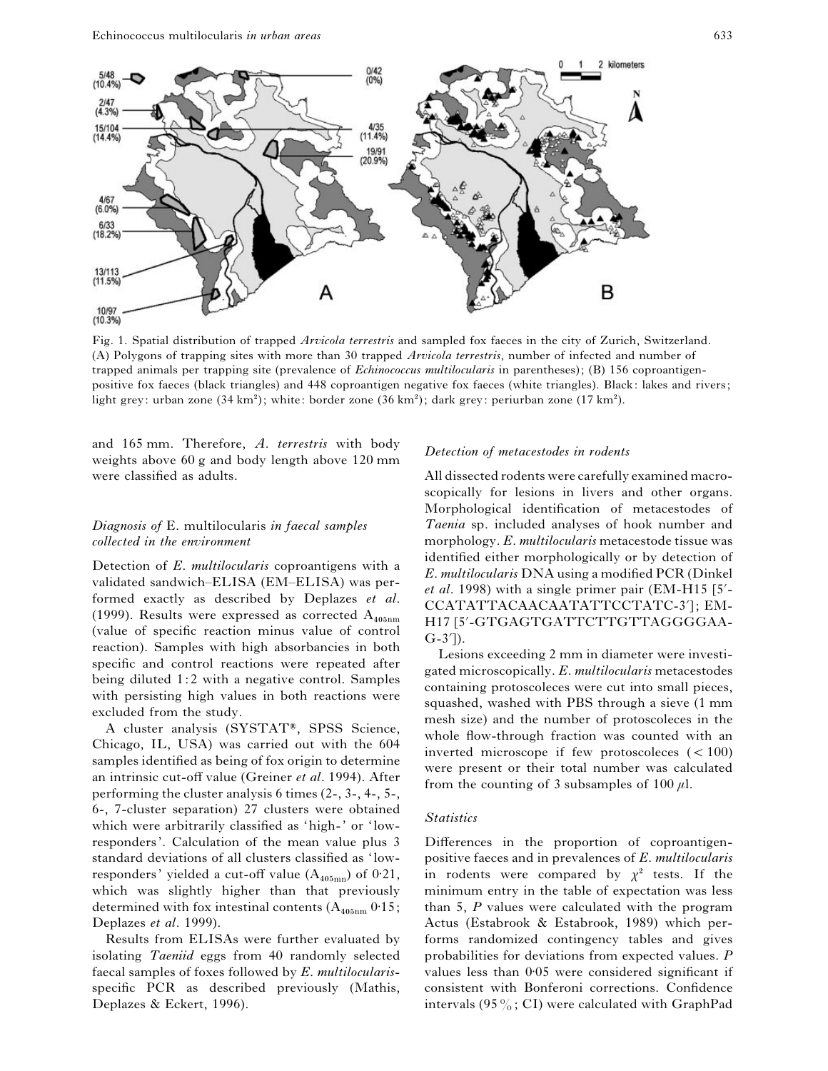

Fig. 1. Spatial distribution of trapped *Arvicola terrestris* and sampled fox faeces in the city of Zurich, Switzerland. (A) Polygons of trapping sites with more than 30 trapped *Arvicola terrestris*, number of infected and number of trapped animals per trapping site (prevalence of *Echinococcus multilocularis* in parentheses); (B) 156 coproantigenpositive fox faeces (black triangles) and 448 coproantigen negative fox faeces (white triangles). Black: lakes and rivers; light grey: urban zone  $(34 \text{ km}^2)$ ; white: border zone  $(36 \text{ km}^2)$ ; dark grey: periurban zone  $(17 \text{ km}^2)$ .

and 165 mm. Therefore, *A*. *terrestris* with body weights above 60 g and body length above 120 mm were classified as adults.

# *Diagnosis of* E. multilocularis *in faecal samples collected in the environment*

Detection of *E*. *multilocularis* coproantigens with a validated sandwich–ELISA (EM–ELISA) was performed exactly as described by Deplazes *et al*. (1999). Results were expressed as corrected  $A_{405nm}$  (value of specific reaction minus value of control reaction). Samples with high absorbancies in both specific and control reactions were repeated after being diluted 1:2 with a negative control. Samples with persisting high values in both reactions were excluded from the study.

A cluster analysis (SYSTAT®, SPSS Science, Chicago, IL, USA) was carried out with the 604 samples identified as being of fox origin to determine an intrinsic cut-off value (Greiner *et al*. 1994). After performing the cluster analysis 6 times (2-, 3-, 4-, 5-, 6-, 7-cluster separation) 27 clusters were obtained which were arbitrarily classified as 'high-' or 'lowresponders'. Calculation of the mean value plus 3 standard deviations of all clusters classified as 'lowresponders' yielded a cut-off value  $(A_{405mn})$  of 0.21, which was slightly higher than that previously determined with fox intestinal contents  $(A_{405nm} 0.15;$ Deplazes *et al*. 1999).

Results from ELISAs were further evaluated by isolating *Taeniid* eggs from 40 randomly selected faecal samples of foxes followed by *E*. *multilocularis*specific PCR as described previously (Mathis, Deplazes & Eckert, 1996).

# *Detection of metacestodes in rodents*

All dissected rodents were carefully examined macroscopically for lesions in livers and other organs. Morphological identification of metacestodes of *Taenia* sp. included analyses of hook number and morphology. *E*. *multilocularis* metacestode tissue was identified either morphologically or by detection of *E*. *multilocularis* DNA using a modified PCR (Dinkel et al. 1998) with a single primer pair (EM-H15 [5'-CCATATTACAACAATATTCCTATC-3']; EM-H17 [5«-GTGAGTGATTCTTGTTAGGGGAA- $(G-3')$ ).

Lesions exceeding 2 mm in diameter were investigated microscopically. *E*. *multilocularis* metacestodes containing protoscoleces were cut into small pieces, squashed, washed with PBS through a sieve (1 mm mesh size) and the number of protoscoleces in the whole flow-through fraction was counted with an inverted microscope if few protoscoleces  $(< 100)$ were present or their total number was calculated from the counting of 3 subsamples of 100  $\mu$ l.

## *Statistics*

Differences in the proportion of coproantigenpositive faeces and in prevalences of *E*. *multilocularis* in rodents were compared by  $\chi^2$  tests. If the minimum entry in the table of expectation was less than 5, *P* values were calculated with the program Actus (Estabrook & Estabrook, 1989) which performs randomized contingency tables and gives probabilities for deviations from expected values. *P* values less than 0.05 were considered significant if consistent with Bonferoni corrections. Confidence intervals (95 $\%$ ; CI) were calculated with GraphPad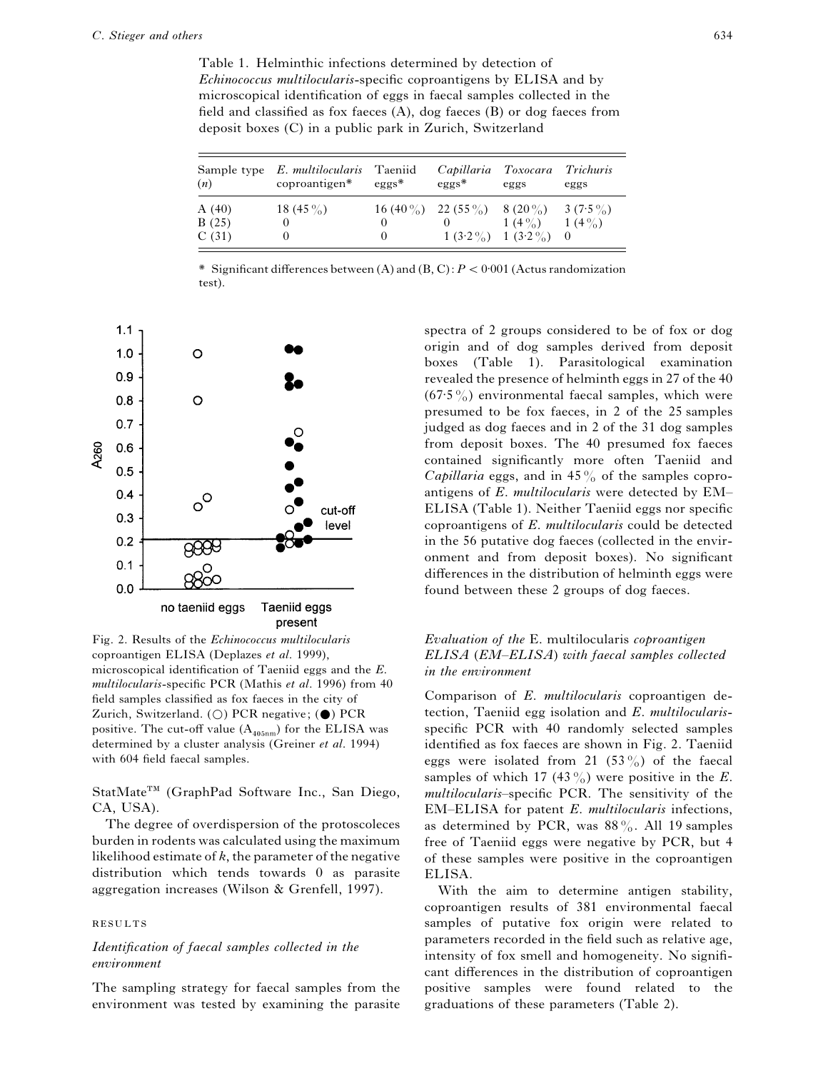Table 1. Helminthic infections determined by detection of *Echinococcus multilocularis*-specific coproantigens by ELISA and by microscopical identification of eggs in faecal samples collected in the field and classified as fox faeces (A), dog faeces (B) or dog faeces from deposit boxes (C) in a public park in Zurich, Switzerland

| (n)   | Sample type E. multilocularis Taeniid<br>coproantigen* | $eggs*$  | Capillaria Toxocara Trichuris<br>$eggs*$       | eggs                    | eggs |
|-------|--------------------------------------------------------|----------|------------------------------------------------|-------------------------|------|
| A(40) | 18 (45 $\%$ )                                          |          | $16 (40\%)$ $22 (55\%)$ $8 (20\%)$ $3 (7.5\%)$ |                         |      |
| B(25) |                                                        |          |                                                | $1(4\%)$ $1(4\%)$       |      |
| C(31) |                                                        | $\theta$ |                                                | $1(3.2\%)$ $1(3.2\%)$ 0 |      |

\* Significant differences between (A) and  $(B, C): P < 0.001$  (Actus randomization test).



Fig. 2. Results of the *Echinococcus multilocularis* coproantigen ELISA (Deplazes *et al*. 1999), microscopical identification of Taeniid eggs and the *E*. *multilocularis*-specific PCR (Mathis *et al*. 1996) from 40 field samples classified as fox faeces in the city of Zurich, Switzerland. ( $\bigcirc$ ) PCR negative; ( $\bigcirc$ ) PCR positive. The cut-off value  $(A_{405nm})$  for the ELISA was determined by a cluster analysis (Greiner *et al*. 1994) with 604 field faecal samples.

StatMate<sup>TM</sup> (GraphPad Software Inc., San Diego, CA, USA).

The degree of overdispersion of the protoscoleces burden in rodents was calculated using the maximum likelihood estimate of *k*, the parameter of the negative distribution which tends towards 0 as parasite aggregation increases (Wilson & Grenfell, 1997).

#### **RESULTS**

# *Identification of faecal samples collected in the environment*

The sampling strategy for faecal samples from the environment was tested by examining the parasite

spectra of 2 groups considered to be of fox or dog origin and of dog samples derived from deposit boxes (Table 1). Parasitological examination revealed the presence of helminth eggs in 27 of the 40  $(67.5\%)$  environmental faecal samples, which were presumed to be fox faeces, in 2 of the 25 samples judged as dog faeces and in 2 of the 31 dog samples from deposit boxes. The 40 presumed fox faeces contained significantly more often Taeniid and *Capillaria* eggs, and in 45 $\%$  of the samples coproantigens of *E*. *multilocularis* were detected by EM– ELISA (Table 1). Neither Taeniid eggs nor specific coproantigens of *E*. *multilocularis* could be detected in the 56 putative dog faeces (collected in the environment and from deposit boxes). No significant differences in the distribution of helminth eggs were found between these 2 groups of dog faeces.

# *Evaluation of the* E. multilocularis *coproantigen ELISA* (*EM–ELISA*) *with faecal samples collected in the environment*

Comparison of *E*. *multilocularis* coproantigen detection, Taeniid egg isolation and *E*. *multilocularis*specific PCR with 40 randomly selected samples identified as fox faeces are shown in Fig. 2. Taeniid eggs were isolated from 21 (53%) of the faecal samples of which 17 (43 $\frac{\partial}{\partial}$ ) were positive in the *E*. *multilocularis*–specific PCR. The sensitivity of the EM–ELISA for patent *E*. *multilocularis* infections, as determined by PCR, was  $88\%$ . All 19 samples free of Taeniid eggs were negative by PCR, but 4 of these samples were positive in the coproantigen ELISA.

With the aim to determine antigen stability, coproantigen results of 381 environmental faecal samples of putative fox origin were related to parameters recorded in the field such as relative age, intensity of fox smell and homogeneity. No significant differences in the distribution of coproantigen positive samples were found related to the graduations of these parameters (Table 2).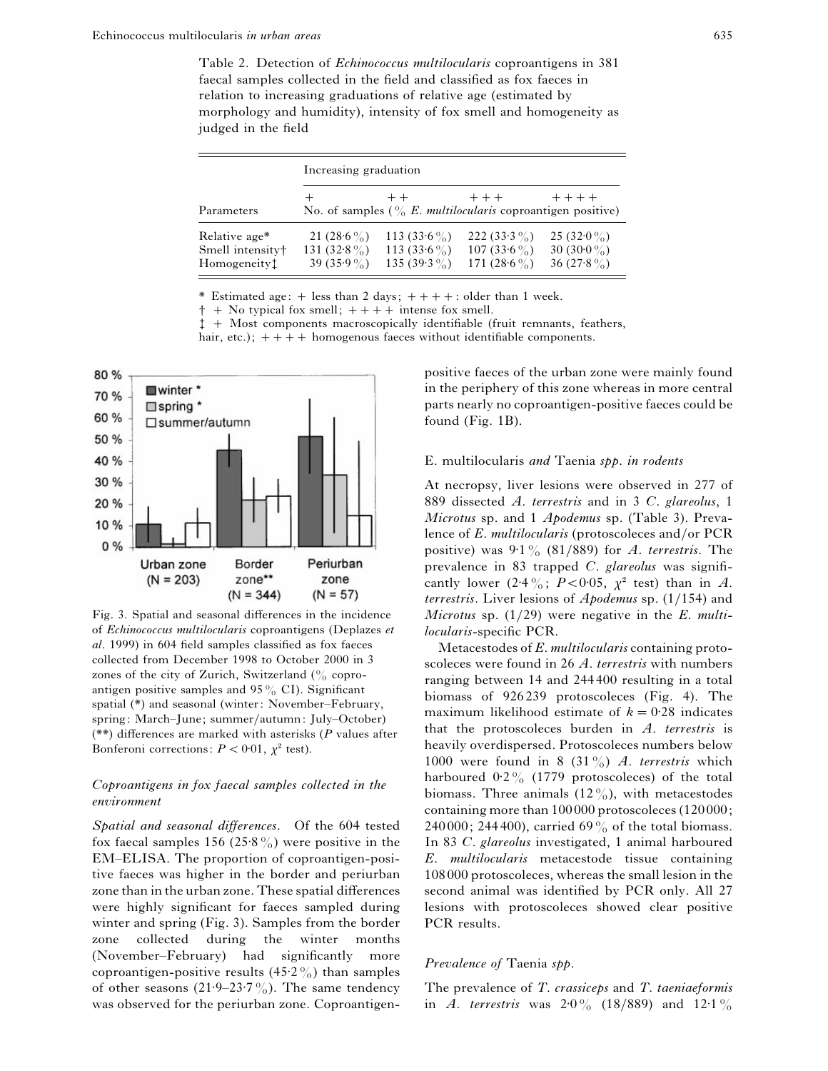Table 2. Detection of *Echinococcus multilocularis* coproantigens in 381 faecal samples collected in the field and classified as fox faeces in relation to increasing graduations of relative age (estimated by morphology and humidity), intensity of fox smell and homogeneity as judged in the field

|                                                                           | Increasing graduation                                  |                                                        |                                                                                       |                                                       |  |
|---------------------------------------------------------------------------|--------------------------------------------------------|--------------------------------------------------------|---------------------------------------------------------------------------------------|-------------------------------------------------------|--|
| Parameters                                                                |                                                        | $++$                                                   | $++$<br>No. of samples $\binom{0}{0}$ <i>E. multilocularis</i> coproantigen positive) | $+ + + +$                                             |  |
| Relative age*<br>Smell intensity <sup>+</sup><br>Homogeneity <sup>1</sup> | 21 (28.6 $\%$ )<br>131 (32.8 $\%$ )<br>39 (35.9 $\%$ ) | 113 $(33.6\%)$<br>113 (33.6 $\%$ )<br>135 (39.3 $\%$ ) | 222 (33.3 $\%$ )<br>107 (33.6 $\%$ )<br>171 $(28.6\%)$                                | 25 (32.0 $\%$ )<br>30 (30.0 $\%$ )<br>36 (27.8 $\%$ ) |  |

\* Estimated age:  $+$  less than 2 days;  $++++$ : older than 1 week.

 $\dagger$  + No typical fox smell;  $++++$  intense fox smell.

 $\ddagger$  + Most components macroscopically identifiable (fruit remnants, feathers,

hair, etc.);  $++++$  homogenous faeces without identifiable components.



Fig. 3. Spatial and seasonal differences in the incidence of *Echinococcus multilocularis* coproantigens (Deplazes *et al*. 1999) in 604 field samples classified as fox faeces collected from December 1998 to October 2000 in 3 zones of the city of Zurich, Switzerland  $\binom{0}{0}$  coproantigen positive samples and  $95\%$  CI). Significant spatial (\*) and seasonal (winter: November–February, spring: March–June; summer}autumn: July–October) (\*\*) differences are marked with asterisks (*P* values after Bonferoni corrections:  $P < 0.01$ ,  $\chi^2$  test).

# *Coproantigens in fox faecal samples collected in the environment*

*Spatial and seasonal differences*. Of the 604 tested fox faecal samples 156 (25.8%) were positive in the EM–ELISA. The proportion of coproantigen-positive faeces was higher in the border and periurban zone than in the urban zone. These spatial differences were highly significant for faeces sampled during winter and spring (Fig. 3). Samples from the border zone collected during the winter months (November–February) had significantly more coproantigen-positive results  $(45.2\%)$  than samples of other seasons  $(21.9-23.7\%)$ . The same tendency was observed for the periurban zone. Coproantigenpositive faeces of the urban zone were mainly found in the periphery of this zone whereas in more central parts nearly no coproantigen-positive faeces could be found (Fig. 1B).

# E. multilocularis *and* Taenia *spp*. *in rodents*

At necropsy, liver lesions were observed in 277 of 889 dissected *A*. *terrestris* and in 3 *C*. *glareolus*, 1 *Microtus* sp. and 1 *Apodemus* sp. (Table 3). Prevalence of *E. multilocularis* (protoscoleces and/or PCR positive) was  $9.1\%$  (81/889) for *A. terrestris*. The prevalence in 83 trapped *C*. *glareolus* was significantly lower  $(2.4\frac{9}{0}; P<0.05, \gamma^2$  test) than in *A*. *terrestris*. Liver lesions of *Apodemus* sp. (1}154) and *Microtus* sp. (1}29) were negative in the *E*. *multilocularis*-specific PCR.

Metacestodes of *E*. *multilocularis* containing protoscoleces were found in 26 *A*. *terrestris* with numbers ranging between 14 and 244 400 resulting in a total biomass of 926 239 protoscoleces (Fig. 4). The maximum likelihood estimate of  $k = 0.28$  indicates that the protoscoleces burden in *A*. *terrestris* is heavily overdispersed. Protoscoleces numbers below 1000 were found in 8 (31%) *A*. *terrestris* which harboured  $0.2\%$  (1779 protoscoleces) of the total biomass. Three animals  $(12\%)$ , with metacestodes containing more than 100 000 protoscoleces (120000; 240000; 244400), carried 69% of the total biomass. In 83 *C*. *glareolus* investigated, 1 animal harboured *E*. *multilocularis* metacestode tissue containing 108 000 protoscoleces, whereas the small lesion in the second animal was identified by PCR only. All 27 lesions with protoscoleces showed clear positive PCR results.

## *Prevalence of* Taenia *spp*.

The prevalence of *T*. *crassiceps* and *T*. *taeniaeformis* in *A. terrestris* was  $2.0\%$  (18/889) and 12 $\cdot$ 1%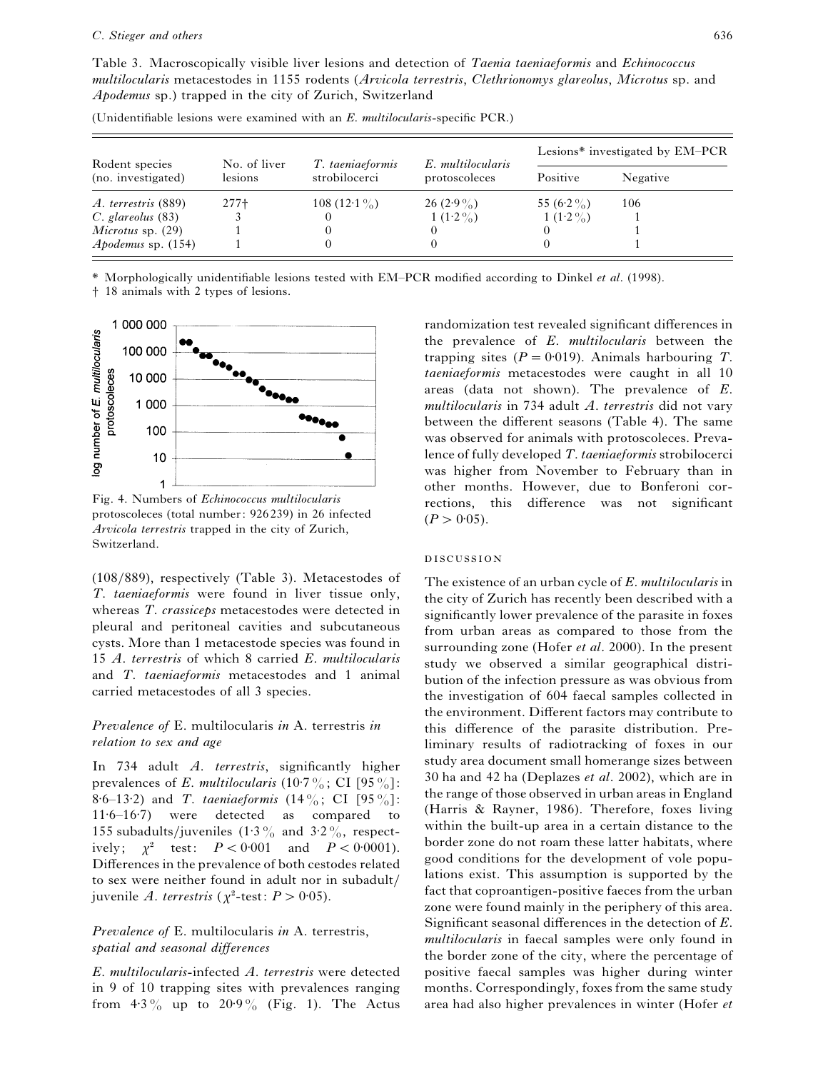Table 3. Macroscopically visible liver lesions and detection of *Taenia taeniaeformis* and *Echinococcus multilocularis* metacestodes in 1155 rodents (*Arvicola terrestris*, *Clethrionomys glareolus*, *Microtus* sp. and *Apodemus* sp.) trapped in the city of Zurich, Switzerland

| Rodent species<br>(no. investigated) | No. of liver<br>lesions | T. taeniaeformis<br>strobilocerci | E. multilocularis<br>protoscoleces | Lesions* investigated by EM-PCR |          |
|--------------------------------------|-------------------------|-----------------------------------|------------------------------------|---------------------------------|----------|
|                                      |                         |                                   |                                    | Positive                        | Negative |
| A. terrestris (889)                  | $277+$                  | 108 $(12.1\%)$                    | $26(2.9\%)$                        | 55 $(6.2\%)$                    | 106      |
| $C.$ glareolus $(83)$                |                         |                                   | 1 $(1.2\%)$                        | 1 $(1.2\%)$                     |          |
| Microtus sp. $(29)$                  |                         |                                   |                                    |                                 |          |
| <i>Apodemus</i> sp. $(154)$          |                         |                                   |                                    |                                 |          |

(Unidentifiable lesions were examined with an *E*. *multilocularis*-specific PCR.)

\* Morphologically unidentifiable lesions tested with EM–PCR modified according to Dinkel *et al*. (1998).

† 18 animals with 2 types of lesions.



Fig. 4. Numbers of *Echinococcus multilocularis* protoscoleces (total number: 926239) in 26 infected *Arvicola terrestris* trapped in the city of Zurich, Switzerland.

(108}889), respectively (Table 3). Metacestodes of *T*. *taeniaeformis* were found in liver tissue only, whereas *T*. *crassiceps* metacestodes were detected in pleural and peritoneal cavities and subcutaneous cysts. More than 1 metacestode species was found in 15 *A*. *terrestris* of which 8 carried *E*. *multilocularis* and *T*. *taeniaeformis* metacestodes and 1 animal carried metacestodes of all 3 species.

# *Prevalence of* E. multilocularis *in* A. terrestris *in relation to sex and age*

In 734 adult *A*. *terrestris*, significantly higher prevalences of *E*. *multilocularis* (10 $\cdot$ 7%; CI [95%]: 8±6–13±2) and *T*. *taeniaeformis* (14%; CI [95%]:  $11·6–16·7$ ) were detected as compared to 155 subadults/juveniles  $(1.3\%$  and  $3.2\%$ , respectively;  $\chi^2$  test:  $P < 0.001$  and  $P < 0.0001$ . Differences in the prevalence of both cestodes related to sex were neither found in adult nor in subadult/ juvenile *A. terrestris* ( $\chi^2$ -test:  $P > 0.05$ ).

# *Prevalence of* E. multilocularis *in* A. terrestris, *spatial and seasonal differences*

*E*. *multilocularis*-infected *A*. *terrestris* were detected in 9 of 10 trapping sites with prevalences ranging from  $4.3\%$  up to  $20.9\%$  (Fig. 1). The Actus randomization test revealed significant differences in the prevalence of *E*. *multilocularis* between the trapping sites  $(P = 0.019)$ . Animals harbouring *T*. *taeniaeformis* metacestodes were caught in all 10 areas (data not shown). The prevalence of *E*. *multilocularis* in 734 adult *A*. *terrestris* did not vary between the different seasons (Table 4). The same was observed for animals with protoscoleces. Prevalence of fully developed *T*. *taeniaeformis* strobilocerci was higher from November to February than in other months. However, due to Bonferoni corrections, this difference was not significant  $(P > 0.05)$ .

## **DISCUSSION**

The existence of an urban cycle of *E*. *multilocularis* in the city of Zurich has recently been described with a significantly lower prevalence of the parasite in foxes from urban areas as compared to those from the surrounding zone (Hofer *et al*. 2000). In the present study we observed a similar geographical distribution of the infection pressure as was obvious from the investigation of 604 faecal samples collected in the environment. Different factors may contribute to this difference of the parasite distribution. Preliminary results of radiotracking of foxes in our study area document small homerange sizes between 30 ha and 42 ha (Deplazes *et al*. 2002), which are in the range of those observed in urban areas in England (Harris & Rayner, 1986). Therefore, foxes living within the built-up area in a certain distance to the border zone do not roam these latter habitats, where good conditions for the development of vole populations exist. This assumption is supported by the fact that coproantigen-positive faeces from the urban zone were found mainly in the periphery of this area. Significant seasonal differences in the detection of *E*. *multilocularis* in faecal samples were only found in the border zone of the city, where the percentage of positive faecal samples was higher during winter months. Correspondingly, foxes from the same study area had also higher prevalences in winter (Hofer *et*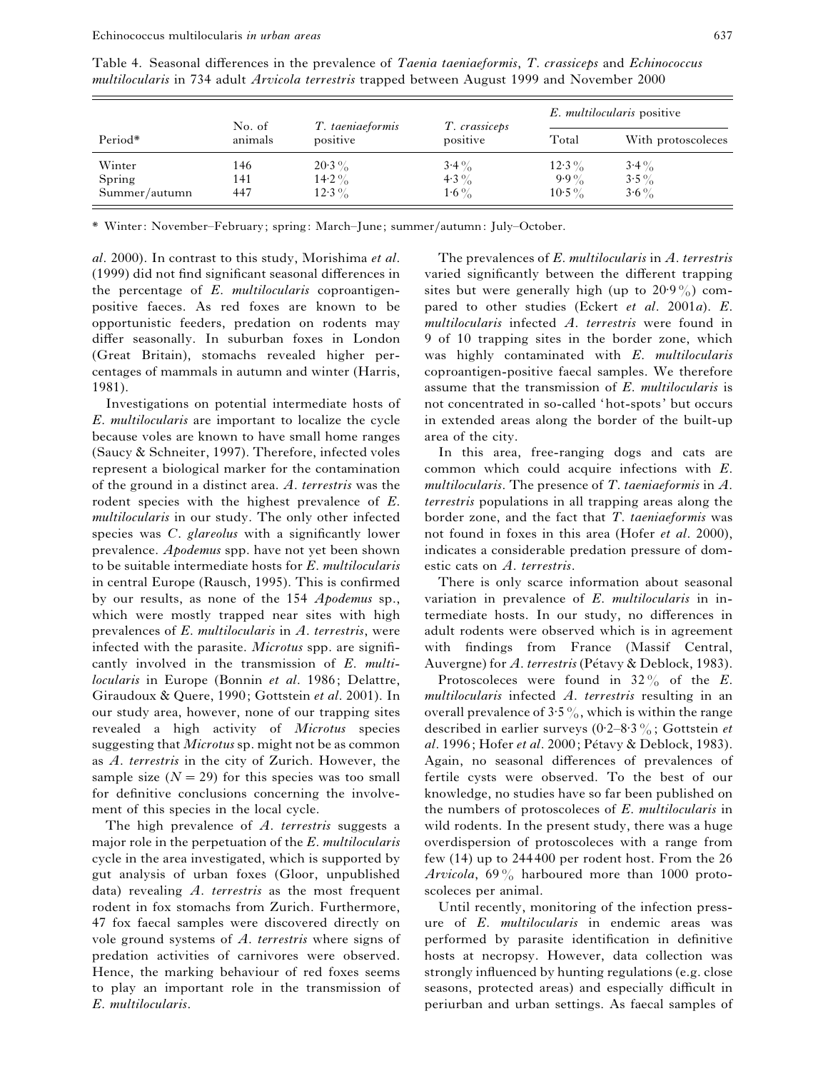|               |                   |                              |                           | E. multilocularis positive |                    |
|---------------|-------------------|------------------------------|---------------------------|----------------------------|--------------------|
| Period*       | No. of<br>animals | T. taeniaeformis<br>positive | T. crassiceps<br>positive | Total                      | With protoscoleces |
| Winter        | 146               | $20.3\%$                     | $3.4\%$                   | $12.3\%$                   | $3.4\%$            |
| Spring        | 141               | $14.2\%$                     | 4.3 $\%$                  | $9.9\%$                    | $3.5\%$            |
| Summer/autumn | 447               | $12.3\%$                     | $1.6\%$                   | $10.5\%$                   | $3.6\%$            |

Table 4. Seasonal differences in the prevalence of *Taenia taeniaeformis*, *T*. *crassiceps* and *Echinococcus multilocularis* in 734 adult *Arvicola terrestris* trapped between August 1999 and November 2000

\* Winter: November–February; spring: March–June; summer}autumn: July–October.

*al*. 2000). In contrast to this study, Morishima *et al*. (1999) did not find significant seasonal differences in the percentage of *E*. *multilocularis* coproantigenpositive faeces. As red foxes are known to be opportunistic feeders, predation on rodents may differ seasonally. In suburban foxes in London (Great Britain), stomachs revealed higher percentages of mammals in autumn and winter (Harris, 1981).

Investigations on potential intermediate hosts of *E*. *multilocularis* are important to localize the cycle because voles are known to have small home ranges (Saucy & Schneiter, 1997). Therefore, infected voles represent a biological marker for the contamination of the ground in a distinct area. *A*. *terrestris* was the rodent species with the highest prevalence of *E*. *multilocularis* in our study. The only other infected species was *C*. *glareolus* with a significantly lower prevalence. *Apodemus* spp. have not yet been shown to be suitable intermediate hosts for *E*. *multilocularis* in central Europe (Rausch, 1995). This is confirmed by our results, as none of the 154 *Apodemus* sp., which were mostly trapped near sites with high prevalences of *E*. *multilocularis* in *A*. *terrestris*, were infected with the parasite. *Microtus* spp. are significantly involved in the transmission of *E*. *multilocularis* in Europe (Bonnin *et al*. 1986; Delattre, Giraudoux & Quere, 1990; Gottstein *et al*. 2001). In our study area, however, none of our trapping sites revealed a high activity of *Microtus* species suggesting that *Microtus* sp. might not be as common as *A*. *terrestris* in the city of Zurich. However, the sample size  $(N = 29)$  for this species was too small for definitive conclusions concerning the involvement of this species in the local cycle.

The high prevalence of *A*. *terrestris* suggests a major role in the perpetuation of the *E*. *multilocularis* cycle in the area investigated, which is supported by gut analysis of urban foxes (Gloor, unpublished data) revealing *A*. *terrestris* as the most frequent rodent in fox stomachs from Zurich. Furthermore, 47 fox faecal samples were discovered directly on vole ground systems of *A*. *terrestris* where signs of predation activities of carnivores were observed. Hence, the marking behaviour of red foxes seems to play an important role in the transmission of *E*. *multilocularis*.

The prevalences of *E*. *multilocularis* in *A*. *terrestris* varied significantly between the different trapping sites but were generally high (up to  $20.9\%$ ) compared to other studies (Eckert *et al*. 2001*a*). *E*. *multilocularis* infected *A*. *terrestris* were found in 9 of 10 trapping sites in the border zone, which was highly contaminated with *E*. *multilocularis* coproantigen-positive faecal samples. We therefore assume that the transmission of *E*. *multilocularis* is not concentrated in so-called 'hot-spots' but occurs in extended areas along the border of the built-up area of the city.

In this area, free-ranging dogs and cats are common which could acquire infections with *E*. *multilocularis*. The presence of *T*. *taeniaeformis* in *A*. *terrestris* populations in all trapping areas along the border zone, and the fact that *T*. *taeniaeformis* was not found in foxes in this area (Hofer *et al*. 2000), indicates a considerable predation pressure of domestic cats on *A*. *terrestris*.

There is only scarce information about seasonal variation in prevalence of *E*. *multilocularis* in intermediate hosts. In our study, no differences in adult rodents were observed which is in agreement with findings from France (Massif Central, Auvergne) for *A. terrestris* (Pétavy & Deblock, 1983).

Protoscoleces were found in 32% of the *E*. *multilocularis* infected *A*. *terrestris* resulting in an overall prevalence of  $3.5\%$ , which is within the range described in earlier surveys  $(0.2–8.3\%;$  Gottstein *et al*. 1996; Hofer *et al.* 2000; Pétavy & Deblock, 1983). Again, no seasonal differences of prevalences of fertile cysts were observed. To the best of our knowledge, no studies have so far been published on the numbers of protoscoleces of *E*. *multilocularis* in wild rodents. In the present study, there was a huge overdispersion of protoscoleces with a range from few (14) up to 244 400 per rodent host. From the 26 *Arvicola*, 69% harboured more than 1000 protoscoleces per animal.

Until recently, monitoring of the infection pressure of *E*. *multilocularis* in endemic areas was performed by parasite identification in definitive hosts at necropsy. However, data collection was strongly influenced by hunting regulations (e.g. close seasons, protected areas) and especially difficult in periurban and urban settings. As faecal samples of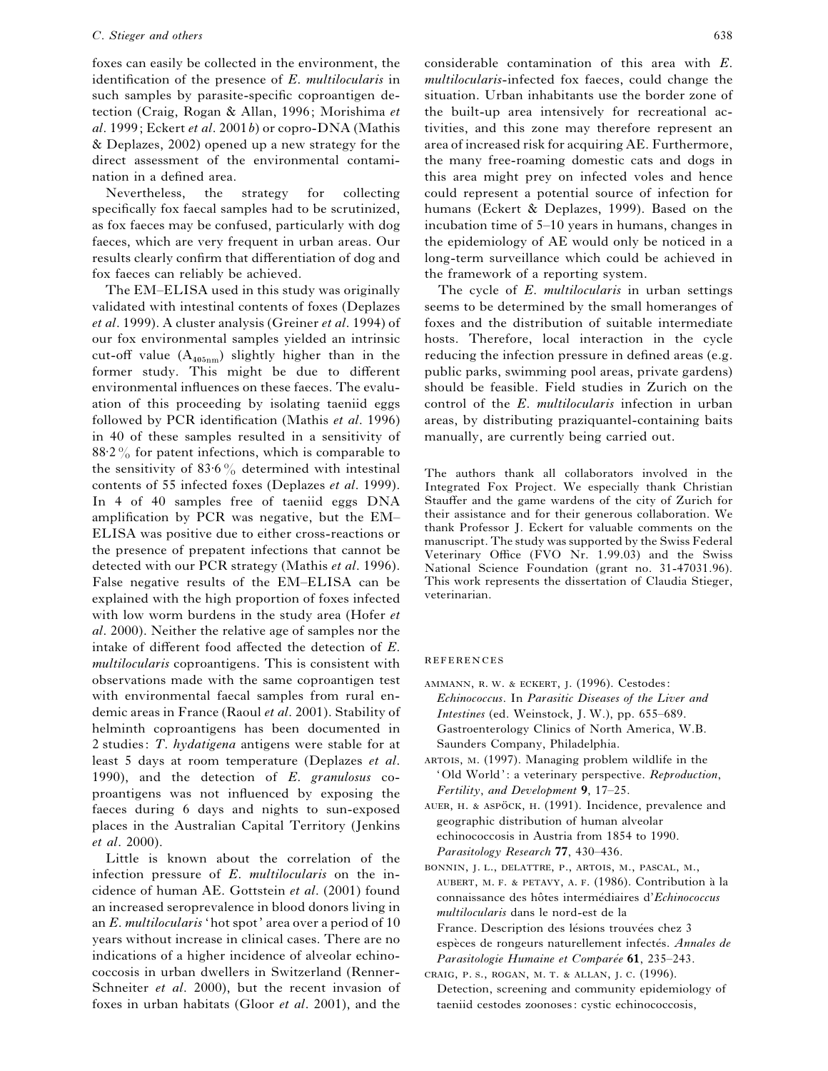## *C*. *Stieger and others* 638

foxes can easily be collected in the environment, the identification of the presence of *E*. *multilocularis* in such samples by parasite-specific coproantigen detection (Craig, Rogan & Allan, 1996; Morishima *et al*. 1999; Eckert *et al*. 2001*b*) or copro-DNA (Mathis & Deplazes, 2002) opened up a new strategy for the direct assessment of the environmental contamination in a defined area.

Nevertheless, the strategy for collecting specifically fox faecal samples had to be scrutinized, as fox faeces may be confused, particularly with dog faeces, which are very frequent in urban areas. Our results clearly confirm that differentiation of dog and fox faeces can reliably be achieved.

The EM–ELISA used in this study was originally validated with intestinal contents of foxes (Deplazes *et al*. 1999). A cluster analysis (Greiner *et al*. 1994) of our fox environmental samples yielded an intrinsic cut-off value  $(A_{405nm})$  slightly higher than in the former study. This might be due to different environmental influences on these faeces. The evaluation of this proceeding by isolating taeniid eggs followed by PCR identification (Mathis *et al*. 1996) in 40 of these samples resulted in a sensitivity of  $88.2\%$  for patent infections, which is comparable to the sensitivity of  $83.6\%$  determined with intestinal contents of 55 infected foxes (Deplazes *et al*. 1999). In 4 of 40 samples free of taeniid eggs DNA amplification by PCR was negative, but the EM– ELISA was positive due to either cross-reactions or the presence of prepatent infections that cannot be detected with our PCR strategy (Mathis *et al*. 1996). False negative results of the EM–ELISA can be explained with the high proportion of foxes infected with low worm burdens in the study area (Hofer *et al*. 2000). Neither the relative age of samples nor the intake of different food affected the detection of *E*. *multilocularis* coproantigens. This is consistent with observations made with the same coproantigen test with environmental faecal samples from rural endemic areas in France (Raoul *et al*. 2001). Stability of helminth coproantigens has been documented in 2 studies: *T*. *hydatigena* antigens were stable for at least 5 days at room temperature (Deplazes *et al*. 1990), and the detection of *E*. *granulosus* coproantigens was not influenced by exposing the faeces during 6 days and nights to sun-exposed places in the Australian Capital Territory (Jenkins *et al*. 2000).

Little is known about the correlation of the infection pressure of *E*. *multilocularis* on the incidence of human AE. Gottstein *et al*. (2001) found an increased seroprevalence in blood donors living in an *E*. *multilocularis* 'hot spot' area over a period of 10 years without increase in clinical cases. There are no indications of a higher incidence of alveolar echinococcosis in urban dwellers in Switzerland (Renner-Schneiter *et al*. 2000), but the recent invasion of foxes in urban habitats (Gloor *et al*. 2001), and the considerable contamination of this area with *E*. *multilocularis*-infected fox faeces, could change the situation. Urban inhabitants use the border zone of the built-up area intensively for recreational activities, and this zone may therefore represent an area of increased risk for acquiring AE. Furthermore, the many free-roaming domestic cats and dogs in this area might prey on infected voles and hence could represent a potential source of infection for humans (Eckert & Deplazes, 1999). Based on the incubation time of 5–10 years in humans, changes in the epidemiology of AE would only be noticed in a long-term surveillance which could be achieved in the framework of a reporting system.

The cycle of *E*. *multilocularis* in urban settings seems to be determined by the small homeranges of foxes and the distribution of suitable intermediate hosts. Therefore, local interaction in the cycle reducing the infection pressure in defined areas (e.g. public parks, swimming pool areas, private gardens) should be feasible. Field studies in Zurich on the control of the *E*. *multilocularis* infection in urban areas, by distributing praziquantel-containing baits manually, are currently being carried out.

The authors thank all collaborators involved in the Integrated Fox Project. We especially thank Christian Stauffer and the game wardens of the city of Zurich for their assistance and for their generous collaboration. We thank Professor J. Eckert for valuable comments on the manuscript. The study was supported by the Swiss Federal Veterinary Office (FVO Nr. 1.99.03) and the Swiss National Science Foundation (grant no. 31-47031.96). This work represents the dissertation of Claudia Stieger, veterinarian.

#### REFERENCES

- AMMANN, R. W. & ECKERT, J. (1996). Cestodes: *Echinococcus*. In *Parasitic Diseases of the Liver and Intestines* (ed. Weinstock, J. W.), pp. 655–689. Gastroenterology Clinics of North America, W.B. Saunders Company, Philadelphia.
- ARTOIS, M. (1997). Managing problem wildlife in the 'Old World': a veterinary perspective. *Reproduction*, *Fertility*, *and Development* **9**, 17–25.
- AUER, H. & ASPÖCK, H. (1991). Incidence, prevalence and geographic distribution of human alveolar echinococcosis in Austria from 1854 to 1990. *Parasitology Research* **77**, 430–436.
- BONNIN, J. L., DELATTRE, P., ARTOIS, M., PASCAL, M., AUBERT, M. F. & PETAVY, A. F. (1986). Contribution à la connaissance des hôtes intermédiaires d'*Echinococcus multilocularis* dans le nord-est de la France. Description des lésions trouvées chez 3 espèces de rongeurs naturellement infectés. *Annales de Parasitologie Humaine et Comparée* 61, 235-243.
- CRAIG, P. S., ROGAN, M. T. & ALLAN, J. C. (1996). Detection, screening and community epidemiology of taeniid cestodes zoonoses: cystic echinococcosis,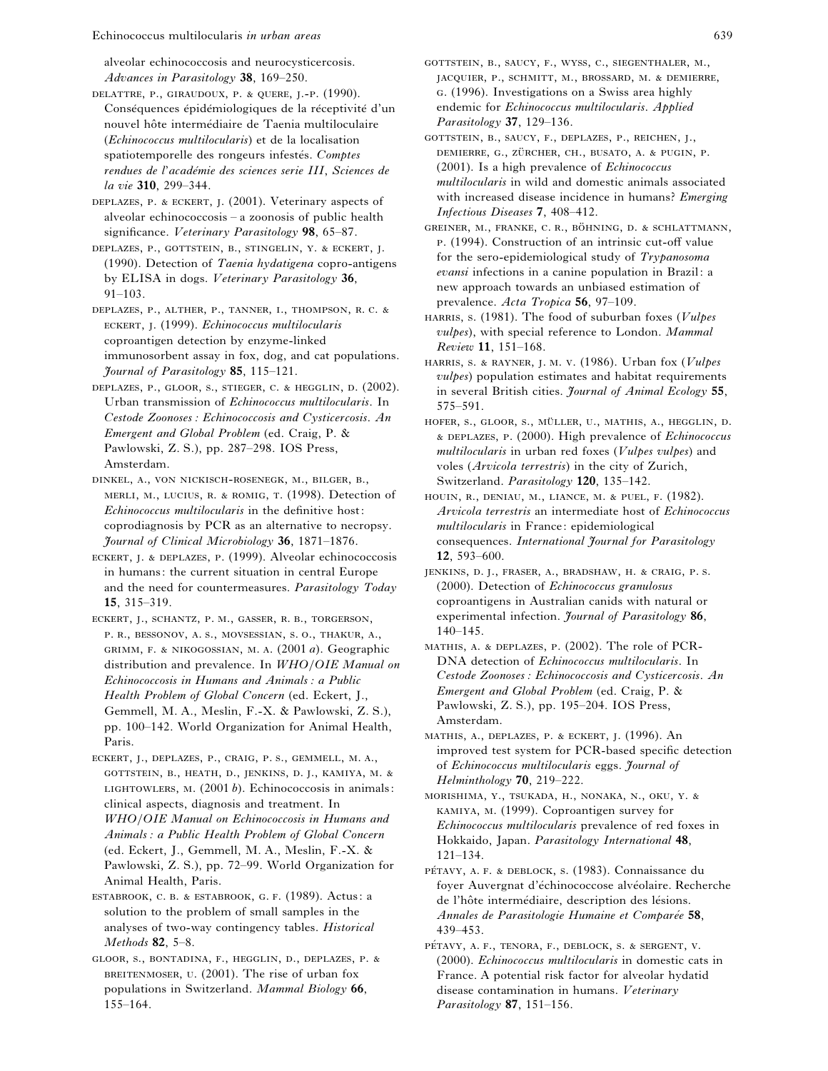Echinococcus multilocularis *in urban areas* 639

alveolar echinococcosis and neurocysticercosis. *Advances in Parasitology* **38**, 169–250.

DELATTRE, P., GIRAUDOUX, P. & QUERE, J.-P. (1990). Conséquences épidémiologiques de la réceptivité d'un nouvel hôte intermédiaire de Taenia multiloculaire (*Echinococcus multilocularis*) et de la localisation spatiotemporelle des rongeurs infestés. Comptes  $r$ endues de l'académie des sciences serie III, Sciences de *la vie* **310**, 299–344.

DEPLAZES, P. & ECKERT, J. (2001). Veterinary aspects of alveolar echinococcosis – a zoonosis of public health significance. *Veterinary Parasitology* **98**, 65–87.

DEPLAZES, P., GOTTSTEIN, B., STINGELIN, Y. & ECKERT, J. (1990). Detection of *Taenia hydatigena* copro-antigens by ELISA in dogs. *Veterinary Parasitology* **36**, 91–103.

DEPLAZES, P., ALTHER, P., TANNER, I., THOMPSON, R. C. & ECKERT, J. (1999). *Echinococcus multilocularis* coproantigen detection by enzyme-linked immunosorbent assay in fox, dog, and cat populations. *Journal of Parasitology* **85**, 115–121.

- DEPLAZES, P., GLOOR, S., STIEGER, C. & HEGGLIN, D. (2002). Urban transmission of *Echinococcus multilocularis*. In *Cestode Zoonoses : Echinococcosis and Cysticercosis. An Emergent and Global Problem* (ed. Craig, P. & Pawlowski, Z. S.), pp. 287–298. IOS Press, Amsterdam.
- DINKEL, A., VON NICKISCH-ROSENEGK, M., BILGER, B., MERLI, M., LUCIUS, R. & ROMIG, T. (1998). Detection of *Echinococcus multilocularis* in the definitive host: coprodiagnosis by PCR as an alternative to necropsy. *Journal of Clinical Microbiology* **36**, 1871–1876.
- ECKERT, J. & DEPLAZES, P. (1999). Alveolar echinococcosis in humans: the current situation in central Europe and the need for countermeasures. *Parasitology Today* **15**, 315–319.
- ECKERT, J., SCHANTZ, P. M., GASSER, R. B., TORGERSON, P. R., BESSONOV, A. S., MOVSESSIAN, S. O., THAKUR, A., GRIMM, F. & NIKOGOSSIAN, M. A. (2001 *a*). Geographic distribution and prevalence. In *WHO*}*OIE Manual on Echinococcosis in Humans and Animals : a Public Health Problem of Global Concern* (ed. Eckert, J., Gemmell, M. A., Meslin, F.-X. & Pawlowski, Z. S.), pp. 100–142. World Organization for Animal Health, Paris.
- ECKERT, J., DEPLAZES, P., CRAIG, P. S., GEMMELL, M. A., GOTTSTEIN, B., HEATH, D., JENKINS, D. J., KAMIYA, M. & LIGHTOWLERS, M. (2001 b). Echinococcosis in animals: clinical aspects, diagnosis and treatment. In *WHO*}*OIE Manual on Echinococcosis in Humans and Animals : a Public Health Problem of Global Concern* (ed. Eckert, J., Gemmell, M. A., Meslin, F.-X. & Pawlowski, Z. S.), pp. 72–99. World Organization for Animal Health, Paris.

ESTABROOK, C. B. & ESTABROOK, G. F. (1989). Actus: a solution to the problem of small samples in the analyses of two-way contingency tables. *Historical Methods* **82**, 5–8.

GLOOR, S., BONTADINA, F., HEGGLIN, D., DEPLAZES, P. & BREITENMOSER, U. (2001). The rise of urban fox populations in Switzerland. *Mammal Biology* **66**, 155–164.

- GOTTSTEIN, B., SAUCY, F., WYSS, C., SIEGENTHALER, M., JACQUIER, P., SCHMITT, M., BROSSARD, M. & DEMIERRE, . (1996). Investigations on a Swiss area highly endemic for *Echinococcus multilocularis*. *Applied Parasitology* **37**, 129–136.
- GOTTSTEIN, B., SAUCY, F., DEPLAZES, P., REICHEN, J., DEMIERRE, G., ZÜRCHER, CH., BUSATO, A. & PUGIN, P. (2001). Is a high prevalence of *Echinococcus multilocularis* in wild and domestic animals associated with increased disease incidence in humans? *Emerging Infectious Diseases* **7**, 408–412.
- GREINER, M., FRANKE, C. R., BÖHNING, D. & SCHLATTMANN, . (1994). Construction of an intrinsic cut-off value for the sero-epidemiological study of *Trypanosoma evansi* infections in a canine population in Brazil: a new approach towards an unbiased estimation of prevalence. *Acta Tropica* **56**, 97–109.
- HARRIS, s. (1981). The food of suburban foxes (*Vulpes vulpes*), with special reference to London. *Mammal Review* **11**, 151–168.
- HARRIS, S. & RAYNER, J. M. V. (1986). Urban fox (*Vulpes vulpes*) population estimates and habitat requirements in several British cities. *Journal of Animal Ecology* **55**, 575–591.
- HOFER, S., GLOOR, S., MÜLLER, U., MATHIS, A., HEGGLIN, D. , . (2000). High prevalence of *Echinococcus multilocularis* in urban red foxes (*Vulpes vulpes*) and voles (*Arvicola terrestris*) in the city of Zurich, Switzerland. *Parasitology* **120**, 135–142.
- HOUIN, R., DENIAU, M., LIANCE, M. & PUEL, F. (1982). *Arvicola terrestris* an intermediate host of *Echinococcus multilocularis* in France: epidemiological consequences. *International Journal for Parasitology* **12**, 593–600.
- JENKINS, D. J., FRASER, A., BRADSHAW, H. & CRAIG, P. S. (2000). Detection of *Echinococcus granulosus* coproantigens in Australian canids with natural or experimental infection. *Journal of Parasitology* **86**, 140–145.
- MATHIS, A. & DEPLAZES, P. (2002). The role of PCR-DNA detection of *Echinococcus multilocularis*. In *Cestode Zoonoses : Echinococcosis and Cysticercosis. An Emergent and Global Problem* (ed. Craig, P. & Pawlowski, Z. S.), pp. 195–204. IOS Press, Amsterdam.
- MATHIS, A., DEPLAZES, P. & ECKERT, J. (1996). An improved test system for PCR-based specific detection of *Echinococcus multilocularis* eggs. *Journal of Helminthology* **70**, 219–222.
- MORISHIMA, Y., TSUKADA, H., NONAKA, N., OKU, Y. & KAMIYA, M. (1999). Coproantigen survey for *Echinococcus multilocularis* prevalence of red foxes in Hokkaido, Japan. *Parasitology International* **48**, 121–134.
- PÉTAVY, A. F. & DEBLOCK, S. (1983). Connaissance du foyer Auvergnat d'échinococcose alvéolaire. Recherche de l'hôte intermédiaire, description des lésions. *Annales de Parasitologie Humaine et Comparée* 58, 439–453.
- PÉTAVY, A. F., TENORA, F., DEBLOCK, S. & SERGENT, V. (2000). *Echinococcus multilocularis* in domestic cats in France. A potential risk factor for alveolar hydatid disease contamination in humans. *Veterinary Parasitology* **87**, 151–156.